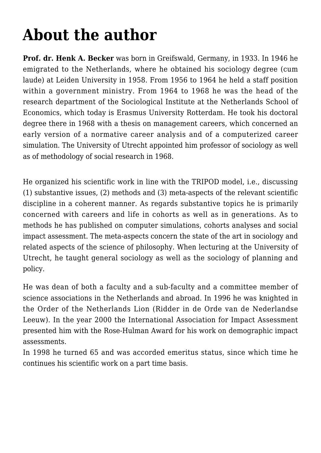## **[About the author](https://rozenbergquarterly.com/sub-2/)**

**Prof. dr. Henk A. Becker** was born in Greifswald, Germany, in 1933. In 1946 he emigrated to the Netherlands, where he obtained his sociology degree (cum laude) at Leiden University in 1958. From 1956 to 1964 he held a staff position within a government ministry. From 1964 to 1968 he was the head of the research department of the Sociological Institute at the Netherlands School of Economics, which today is Erasmus University Rotterdam. He took his doctoral degree there in 1968 with a thesis on management careers, which concerned an early version of a normative career analysis and of a computerized career simulation. The University of Utrecht appointed him professor of sociology as well as of methodology of social research in 1968.

He organized his scientific work in line with the TRIPOD model, i.e., discussing (1) substantive issues, (2) methods and (3) meta-aspects of the relevant scientific discipline in a coherent manner. As regards substantive topics he is primarily concerned with careers and life in cohorts as well as in generations. As to methods he has published on computer simulations, cohorts analyses and social impact assessment. The meta-aspects concern the state of the art in sociology and related aspects of the science of philosophy. When lecturing at the University of Utrecht, he taught general sociology as well as the sociology of planning and policy.

He was dean of both a faculty and a sub-faculty and a committee member of science associations in the Netherlands and abroad. In 1996 he was knighted in the Order of the Netherlands Lion (Ridder in de Orde van de Nederlandse Leeuw). In the year 2000 the International Association for Impact Assessment presented him with the Rose-Hulman Award for his work on demographic impact assessments.

In 1998 he turned 65 and was accorded emeritus status, since which time he continues his scientific work on a part time basis.